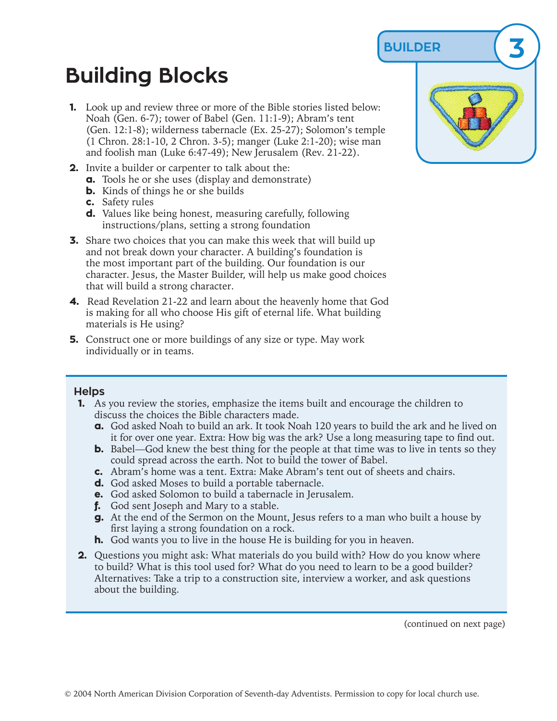**BUILDER 3**

## **Building Blocks**

- **1.** Look up and review three or more of the Bible stories listed below: Noah (Gen. 6-7); tower of Babel (Gen. 11:1-9); Abram's tent (Gen. 12:1-8); wilderness tabernacle (Ex. 25-27); Solomon's temple (1 Chron. 28:1-10, 2 Chron. 3-5); manger (Luke 2:1-20); wise man and foolish man (Luke 6:47-49); New Jerusalem (Rev. 21-22).
- **2.** Invite a builder or carpenter to talk about the:
	- **a.** Tools he or she uses (display and demonstrate)
	- **b.** Kinds of things he or she builds
	- **c.** Safety rules
	- **d.** Values like being honest, measuring carefully, following instructions/plans, setting a strong foundation
- **3.** Share two choices that you can make this week that will build up and not break down your character. A building's foundation is the most important part of the building. Our foundation is our character. Jesus, the Master Builder, will help us make good choices that will build a strong character.
- **4.** Read Revelation 21-22 and learn about the heavenly home that God is making for all who choose His gift of eternal life. What building materials is He using?
- **5.** Construct one or more buildings of any size or type. May work individually or in teams.

## **Helps**

- **1.** As you review the stories, emphasize the items built and encourage the children to discuss the choices the Bible characters made.
	- **a.** God asked Noah to build an ark. It took Noah 120 years to build the ark and he lived on it for over one year. Extra: How big was the ark? Use a long measuring tape to find out.
	- **b.** Babel—God knew the best thing for the people at that time was to live in tents so they could spread across the earth. Not to build the tower of Babel.
	- **c.** Abram's home was a tent. Extra: Make Abram's tent out of sheets and chairs.
	- **d.** God asked Moses to build a portable tabernacle.
	- **e.** God asked Solomon to build a tabernacle in Jerusalem.
	- **f.** God sent Joseph and Mary to a stable.
	- **g.** At the end of the Sermon on the Mount, Jesus refers to a man who built a house by first laying a strong foundation on a rock.
	- **h.** God wants you to live in the house He is building for you in heaven.
- **2.** Questions you might ask: What materials do you build with? How do you know where to build? What is this tool used for? What do you need to learn to be a good builder? Alternatives: Take a trip to a construction site, interview a worker, and ask questions about the building.

(continued on next page)